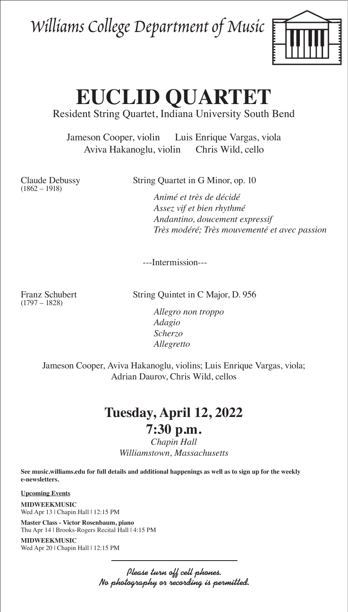## Williams College Department of Music



# **EUCLID QUARTET**

#### Resident String Quartet, Indiana University South Bend

Jameson Cooper, violin Luis Enrique Vargas, viola Aviva Hakanoglu, violin Chris Wild, cello

(1862 – 1918)

Claude Debussy String Quartet in G Minor, op. 10

 *Animé et très de décidé Assez vif et bien rhythmé Andantino, doucement expressif Très modéré; Très mouvementé et avec passion*

---Intermission---

(1797 – 1828)

Franz Schubert String Quintet in C Major, D. 956

 *Allegro non troppo Adagio Scherzo Allegretto*

Jameson Cooper, Aviva Hakanoglu, violins; Luis Enrique Vargas, viola; Adrian Daurov, Chris Wild, cellos

## **Tuesday, April 12, 2022 7:30 p.m.**

### *Chapin Hall Williamstown, Massachusetts*

**See music.williams.edu for full details and additional happenings as well as to sign up for the weekly e-newsletters.** 

**Upcoming Events**

**MIDWEEKMUSIC** Wed Apr 13 | Chapin Hall | 12:15 PM

**Master Class - Victor Rosenbaum, piano** Thu Apr 14 | Brooks-Rogers Recital Hall | 4:15 PM

**MIDWEEKMUSIC** Wed Apr 20 | Chapin Hall | 12:15 PM

> Please turn off cell phones. No photography or recording is permitted.